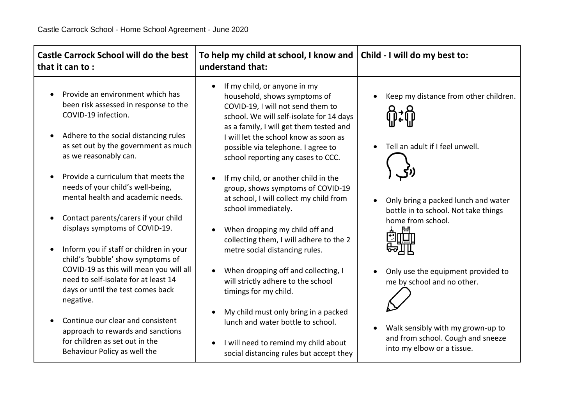| <b>Castle Carrock School will do the best</b><br>that it can to:                                                                                                                                                                                             | To help my child at school, I know and   Child - I will do my best to:<br>understand that:                                                                                                                                                                                                                                 |                                                                                                      |
|--------------------------------------------------------------------------------------------------------------------------------------------------------------------------------------------------------------------------------------------------------------|----------------------------------------------------------------------------------------------------------------------------------------------------------------------------------------------------------------------------------------------------------------------------------------------------------------------------|------------------------------------------------------------------------------------------------------|
| Provide an environment which has<br>been risk assessed in response to the<br>COVID-19 infection.<br>Adhere to the social distancing rules<br>$\bullet$<br>as set out by the government as much<br>as we reasonably can.                                      | If my child, or anyone in my<br>$\bullet$<br>household, shows symptoms of<br>COVID-19, I will not send them to<br>school. We will self-isolate for 14 days<br>as a family, I will get them tested and<br>I will let the school know as soon as<br>possible via telephone. I agree to<br>school reporting any cases to CCC. | Keep my distance from other children.<br>Tell an adult if I feel unwell.                             |
| Provide a curriculum that meets the<br>$\bullet$<br>needs of your child's well-being,<br>mental health and academic needs.<br>Contact parents/carers if your child<br>$\bullet$<br>displays symptoms of COVID-19.<br>Inform you if staff or children in your | If my child, or another child in the<br>$\bullet$<br>group, shows symptoms of COVID-19<br>at school, I will collect my child from<br>school immediately.<br>When dropping my child off and<br>collecting them, I will adhere to the 2<br>metre social distancing rules.                                                    | Only bring a packed lunch and water<br>bottle in to school. Not take things<br>home from school.     |
| child's 'bubble' show symptoms of<br>COVID-19 as this will mean you will all<br>need to self-isolate for at least 14<br>days or until the test comes back<br>negative.                                                                                       | When dropping off and collecting, I<br>$\bullet$<br>will strictly adhere to the school<br>timings for my child.<br>My child must only bring in a packed<br>$\bullet$                                                                                                                                                       | Only use the equipment provided to<br>me by school and no other.                                     |
| Continue our clear and consistent<br>$\bullet$<br>approach to rewards and sanctions<br>for children as set out in the<br>Behaviour Policy as well the                                                                                                        | lunch and water bottle to school.<br>I will need to remind my child about<br>$\bullet$<br>social distancing rules but accept they                                                                                                                                                                                          | Walk sensibly with my grown-up to<br>and from school. Cough and sneeze<br>into my elbow or a tissue. |